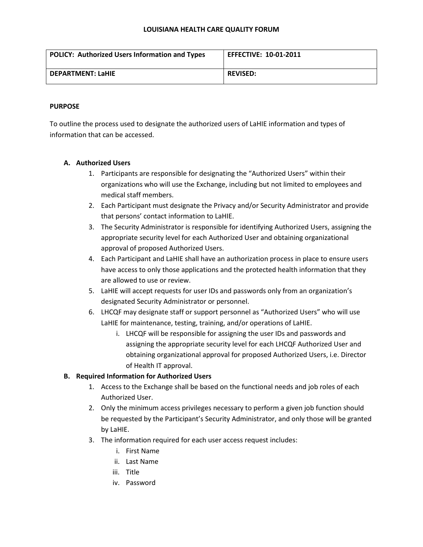| POLICY: Authorized Users Information and Types | <b>EFFECTIVE: 10-01-2011</b> |
|------------------------------------------------|------------------------------|
| <b>DEPARTMENT: LaHIE</b>                       | <b>REVISED:</b>              |

### **PURPOSE**

To outline the process used to designate the authorized users of LaHIE information and types of information that can be accessed.

### **A. Authorized Users**

- 1. Participants are responsible for designating the "Authorized Users" within their organizations who will use the Exchange, including but not limited to employees and medical staff members.
- 2. Each Participant must designate the Privacy and/or Security Administrator and provide that persons' contact information to LaHIE.
- 3. The Security Administrator is responsible for identifying Authorized Users, assigning the appropriate security level for each Authorized User and obtaining organizational approval of proposed Authorized Users.
- 4. Each Participant and LaHIE shall have an authorization process in place to ensure users have access to only those applications and the protected health information that they are allowed to use or review.
- 5. LaHIE will accept requests for user IDs and passwords only from an organization's designated Security Administrator or personnel.
- 6. LHCQF may designate staff or support personnel as "Authorized Users" who will use LaHIE for maintenance, testing, training, and/or operations of LaHIE.
	- i. LHCQF will be responsible for assigning the user IDs and passwords and assigning the appropriate security level for each LHCQF Authorized User and obtaining organizational approval for proposed Authorized Users, i.e. Director of Health IT approval.

## **B. Required Information for Authorized Users**

- 1. Access to the Exchange shall be based on the functional needs and job roles of each Authorized User.
- 2. Only the minimum access privileges necessary to perform a given job function should be requested by the Participant's Security Administrator, and only those will be granted by LaHIE.
- 3. The information required for each user access request includes:
	- i. First Name
	- ii. Last Name
	- iii. Title
	- iv. Password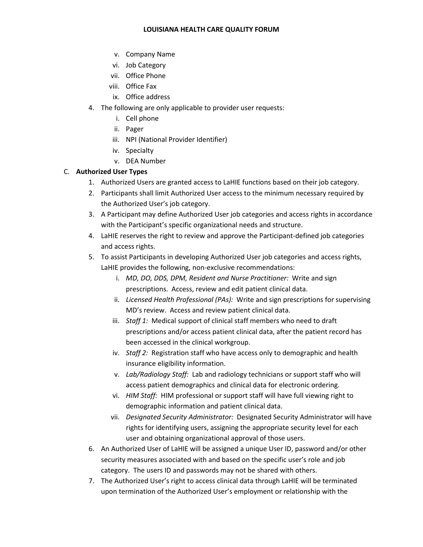- v. Company Name
- vi. Job Category
- vii. Office Phone
- viii. Office Fax
- ix. Office address
- 4. The following are only applicable to provider user requests:
	- i. Cell phone
	- ii. Pager
	- iii. NPI (National Provider Identifier)
	- iv. Specialty
	- v. DEA Number

## C. **Authorized User Types**

- 1. Authorized Users are granted access to LaHIE functions based on their job category.
- 2. Participants shall limit Authorized User access to the minimum necessary required by the Authorized User's job category.
- 3. A Participant may define Authorized User job categories and access rights in accordance with the Participant's specific organizational needs and structure.
- 4. LaHIE reserves the right to review and approve the Participant-defined job categories and access rights.
- 5. To assist Participants in developing Authorized User job categories and access rights, LaHIE provides the following, non-exclusive recommendations:
	- i. *MD, DO, DDS, DPM, Resident and Nurse Practitioner:* Write and sign prescriptions. Access, review and edit patient clinical data.
	- ii. *Licensed Health Professional (PAs):* Write and sign prescriptions for supervising MD's review. Access and review patient clinical data.
	- iii. *Staff 1:* Medical support of clinical staff members who need to draft prescriptions and/or access patient clinical data, after the patient record has been accessed in the clinical workgroup.
	- iv. *Staff 2:* Registration staff who have access only to demographic and health insurance eligibility information.
	- v. *Lab/Radiology Staff:* Lab and radiology technicians or support staff who will access patient demographics and clinical data for electronic ordering.
	- vi. *HIM Staff:* HIM professional or support staff will have full viewing right to demographic information and patient clinical data.
	- vii. *Designated Security Administrator:* Designated Security Administrator will have rights for identifying users, assigning the appropriate security level for each user and obtaining organizational approval of those users.
- 6. An Authorized User of LaHIE will be assigned a unique User ID, password and/or other security measures associated with and based on the specific user's role and job category. The users ID and passwords may not be shared with others.
- 7. The Authorized User's right to access clinical data through LaHIE will be terminated upon termination of the Authorized User's employment or relationship with the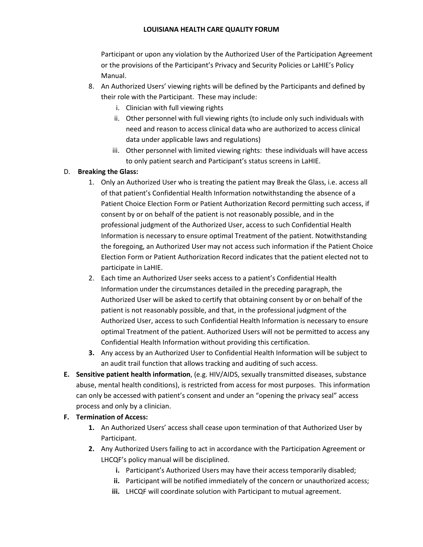Participant or upon any violation by the Authorized User of the Participation Agreement or the provisions of the Participant's Privacy and Security Policies or LaHIE's Policy Manual.

- 8. An Authorized Users' viewing rights will be defined by the Participants and defined by their role with the Participant. These may include:
	- i. Clinician with full viewing rights
	- ii. Other personnel with full viewing rights (to include only such individuals with need and reason to access clinical data who are authorized to access clinical data under applicable laws and regulations)
	- iii. Other personnel with limited viewing rights: these individuals will have access to only patient search and Participant's status screens in LaHIE.

# D. **Breaking the Glass:**

- 1. Only an Authorized User who is treating the patient may Break the Glass, i.e. access all of that patient's Confidential Health Information notwithstanding the absence of a Patient Choice Election Form or Patient Authorization Record permitting such access, if consent by or on behalf of the patient is not reasonably possible, and in the professional judgment of the Authorized User, access to such Confidential Health Information is necessary to ensure optimal Treatment of the patient. Notwithstanding the foregoing, an Authorized User may not access such information if the Patient Choice Election Form or Patient Authorization Record indicates that the patient elected not to participate in LaHIE.
- 2. Each time an Authorized User seeks access to a patient's Confidential Health Information under the circumstances detailed in the preceding paragraph, the Authorized User will be asked to certify that obtaining consent by or on behalf of the patient is not reasonably possible, and that, in the professional judgment of the Authorized User, access to such Confidential Health Information is necessary to ensure optimal Treatment of the patient. Authorized Users will not be permitted to access any Confidential Health Information without providing this certification.
- **3.** Any access by an Authorized User to Confidential Health Information will be subject to an audit trail function that allows tracking and auditing of such access.
- **E. Sensitive patient health information**, (e.g. HIV/AIDS, sexually transmitted diseases, substance abuse, mental health conditions), is restricted from access for most purposes. This information can only be accessed with patient's consent and under an "opening the privacy seal" access process and only by a clinician.

## **F. Termination of Access:**

- **1.** An Authorized Users' access shall cease upon termination of that Authorized User by Participant.
- **2.** Any Authorized Users failing to act in accordance with the Participation Agreement or LHCQF's policy manual will be disciplined.
	- **i.** Participant's Authorized Users may have their access temporarily disabled;
	- **ii.** Participant will be notified immediately of the concern or unauthorized access;
	- **iii.** LHCQF will coordinate solution with Participant to mutual agreement.